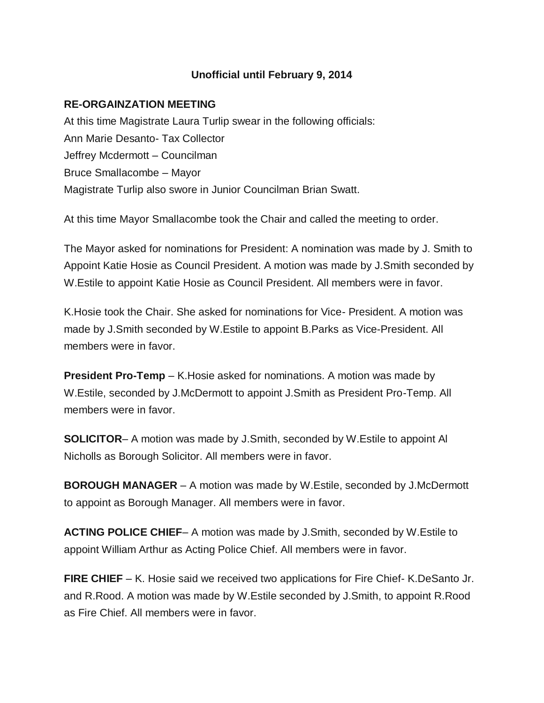# **Unofficial until February 9, 2014**

## **RE-ORGAINZATION MEETING**

At this time Magistrate Laura Turlip swear in the following officials: Ann Marie Desanto- Tax Collector Jeffrey Mcdermott – Councilman Bruce Smallacombe – Mayor Magistrate Turlip also swore in Junior Councilman Brian Swatt.

At this time Mayor Smallacombe took the Chair and called the meeting to order.

The Mayor asked for nominations for President: A nomination was made by J. Smith to Appoint Katie Hosie as Council President. A motion was made by J.Smith seconded by W.Estile to appoint Katie Hosie as Council President. All members were in favor.

K.Hosie took the Chair. She asked for nominations for Vice- President. A motion was made by J.Smith seconded by W.Estile to appoint B.Parks as Vice-President. All members were in favor.

**President Pro-Temp** – K. Hosie asked for nominations. A motion was made by W.Estile, seconded by J.McDermott to appoint J.Smith as President Pro-Temp. All members were in favor.

**SOLICITOR**– A motion was made by J.Smith, seconded by W.Estile to appoint Al Nicholls as Borough Solicitor. All members were in favor.

**BOROUGH MANAGER** – A motion was made by W.Estile, seconded by J.McDermott to appoint as Borough Manager. All members were in favor.

**ACTING POLICE CHIEF**– A motion was made by J.Smith, seconded by W.Estile to appoint William Arthur as Acting Police Chief. All members were in favor.

**FIRE CHIEF** – K. Hosie said we received two applications for Fire Chief- K.DeSanto Jr. and R.Rood. A motion was made by W.Estile seconded by J.Smith, to appoint R.Rood as Fire Chief. All members were in favor.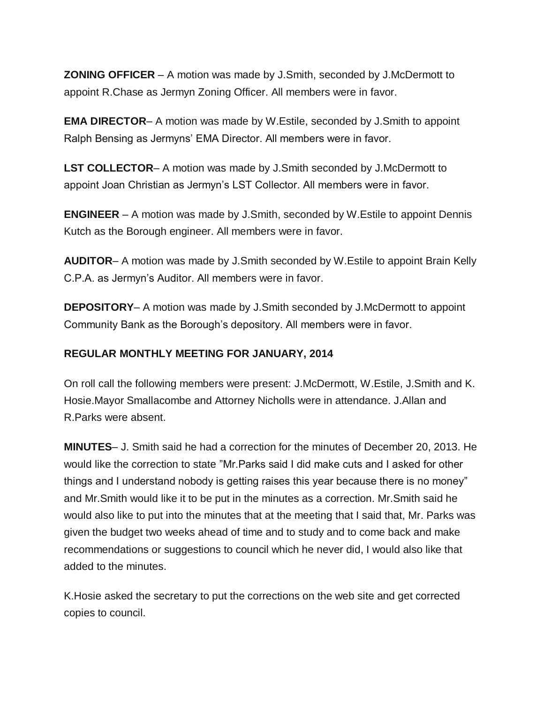**ZONING OFFICER** – A motion was made by J.Smith, seconded by J.McDermott to appoint R.Chase as Jermyn Zoning Officer. All members were in favor.

**EMA DIRECTOR**– A motion was made by W.Estile, seconded by J.Smith to appoint Ralph Bensing as Jermyns' EMA Director. All members were in favor.

**LST COLLECTOR**– A motion was made by J.Smith seconded by J.McDermott to appoint Joan Christian as Jermyn's LST Collector. All members were in favor.

**ENGINEER** – A motion was made by J.Smith, seconded by W.Estile to appoint Dennis Kutch as the Borough engineer. All members were in favor.

**AUDITOR**– A motion was made by J.Smith seconded by W.Estile to appoint Brain Kelly C.P.A. as Jermyn's Auditor. All members were in favor.

**DEPOSITORY**– A motion was made by J.Smith seconded by J.McDermott to appoint Community Bank as the Borough's depository. All members were in favor.

# **REGULAR MONTHLY MEETING FOR JANUARY, 2014**

On roll call the following members were present: J.McDermott, W.Estile, J.Smith and K. Hosie.Mayor Smallacombe and Attorney Nicholls were in attendance. J.Allan and R.Parks were absent.

**MINUTES**– J. Smith said he had a correction for the minutes of December 20, 2013. He would like the correction to state "Mr.Parks said I did make cuts and I asked for other things and I understand nobody is getting raises this year because there is no money" and Mr.Smith would like it to be put in the minutes as a correction. Mr.Smith said he would also like to put into the minutes that at the meeting that I said that, Mr. Parks was given the budget two weeks ahead of time and to study and to come back and make recommendations or suggestions to council which he never did, I would also like that added to the minutes.

K.Hosie asked the secretary to put the corrections on the web site and get corrected copies to council.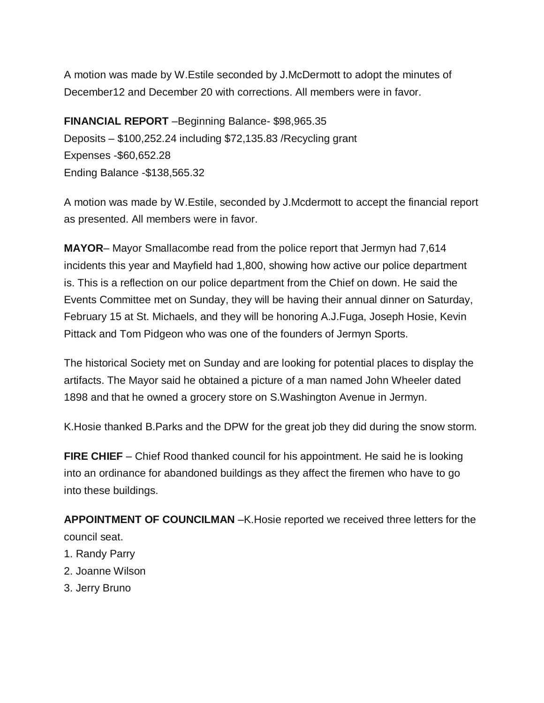A motion was made by W.Estile seconded by J.McDermott to adopt the minutes of December12 and December 20 with corrections. All members were in favor.

**FINANCIAL REPORT** –Beginning Balance- \$98,965.35 Deposits – \$100,252.24 including \$72,135.83 /Recycling grant Expenses -\$60,652.28 Ending Balance -\$138,565.32

A motion was made by W.Estile, seconded by J.Mcdermott to accept the financial report as presented. All members were in favor.

**MAYOR**– Mayor Smallacombe read from the police report that Jermyn had 7,614 incidents this year and Mayfield had 1,800, showing how active our police department is. This is a reflection on our police department from the Chief on down. He said the Events Committee met on Sunday, they will be having their annual dinner on Saturday, February 15 at St. Michaels, and they will be honoring A.J.Fuga, Joseph Hosie, Kevin Pittack and Tom Pidgeon who was one of the founders of Jermyn Sports.

The historical Society met on Sunday and are looking for potential places to display the artifacts. The Mayor said he obtained a picture of a man named John Wheeler dated 1898 and that he owned a grocery store on S.Washington Avenue in Jermyn.

K.Hosie thanked B.Parks and the DPW for the great job they did during the snow storm.

**FIRE CHIEF** – Chief Rood thanked council for his appointment. He said he is looking into an ordinance for abandoned buildings as they affect the firemen who have to go into these buildings.

**APPOINTMENT OF COUNCILMAN** –K.Hosie reported we received three letters for the council seat.

- 1. Randy Parry
- 2. Joanne Wilson
- 3. Jerry Bruno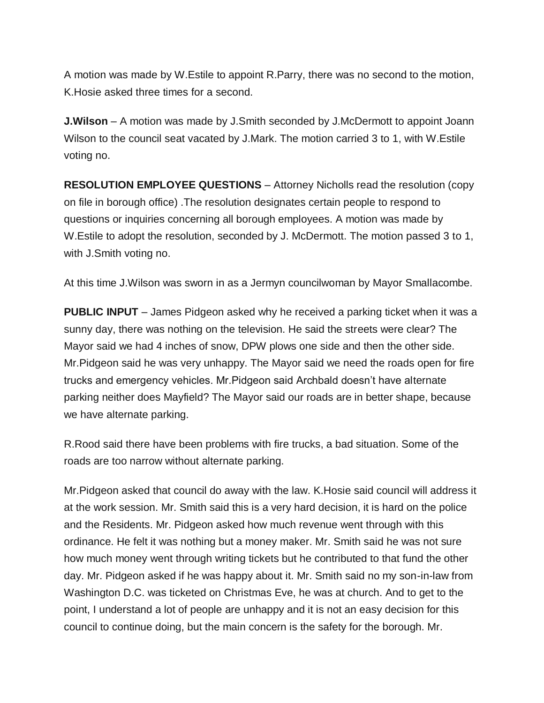A motion was made by W.Estile to appoint R.Parry, there was no second to the motion, K.Hosie asked three times for a second.

**J.Wilson** – A motion was made by J.Smith seconded by J.McDermott to appoint Joann Wilson to the council seat vacated by J.Mark. The motion carried 3 to 1, with W.Estile voting no.

**RESOLUTION EMPLOYEE QUESTIONS** – Attorney Nicholls read the resolution (copy on file in borough office) .The resolution designates certain people to respond to questions or inquiries concerning all borough employees. A motion was made by W.Estile to adopt the resolution, seconded by J. McDermott. The motion passed 3 to 1, with J.Smith voting no.

At this time J.Wilson was sworn in as a Jermyn councilwoman by Mayor Smallacombe.

**PUBLIC INPUT** – James Pidgeon asked why he received a parking ticket when it was a sunny day, there was nothing on the television. He said the streets were clear? The Mayor said we had 4 inches of snow, DPW plows one side and then the other side. Mr.Pidgeon said he was very unhappy. The Mayor said we need the roads open for fire trucks and emergency vehicles. Mr.Pidgeon said Archbald doesn't have alternate parking neither does Mayfield? The Mayor said our roads are in better shape, because we have alternate parking.

R.Rood said there have been problems with fire trucks, a bad situation. Some of the roads are too narrow without alternate parking.

Mr.Pidgeon asked that council do away with the law. K.Hosie said council will address it at the work session. Mr. Smith said this is a very hard decision, it is hard on the police and the Residents. Mr. Pidgeon asked how much revenue went through with this ordinance. He felt it was nothing but a money maker. Mr. Smith said he was not sure how much money went through writing tickets but he contributed to that fund the other day. Mr. Pidgeon asked if he was happy about it. Mr. Smith said no my son-in-law from Washington D.C. was ticketed on Christmas Eve, he was at church. And to get to the point, I understand a lot of people are unhappy and it is not an easy decision for this council to continue doing, but the main concern is the safety for the borough. Mr.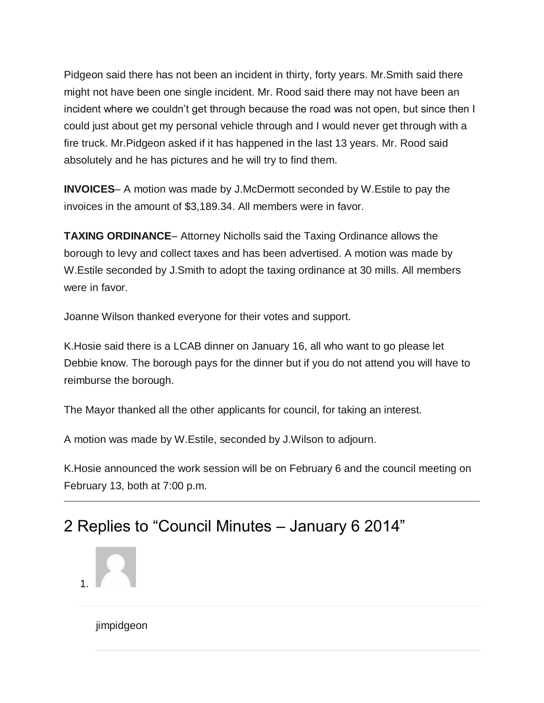Pidgeon said there has not been an incident in thirty, forty years. Mr.Smith said there might not have been one single incident. Mr. Rood said there may not have been an incident where we couldn't get through because the road was not open, but since then I could just about get my personal vehicle through and I would never get through with a fire truck. Mr.Pidgeon asked if it has happened in the last 13 years. Mr. Rood said absolutely and he has pictures and he will try to find them.

**INVOICES**– A motion was made by J.McDermott seconded by W.Estile to pay the invoices in the amount of \$3,189.34. All members were in favor.

**TAXING ORDINANCE**– Attorney Nicholls said the Taxing Ordinance allows the borough to levy and collect taxes and has been advertised. A motion was made by W.Estile seconded by J.Smith to adopt the taxing ordinance at 30 mills. All members were in favor.

Joanne Wilson thanked everyone for their votes and support.

K.Hosie said there is a LCAB dinner on January 16, all who want to go please let Debbie know. The borough pays for the dinner but if you do not attend you will have to reimburse the borough.

The Mayor thanked all the other applicants for council, for taking an interest.

A motion was made by W.Estile, seconded by J.Wilson to adjourn.

K.Hosie announced the work session will be on February 6 and the council meeting on February 13, both at 7:00 p.m.

# 2 Replies to "Council Minutes – January 6 2014"



jimpidgeon